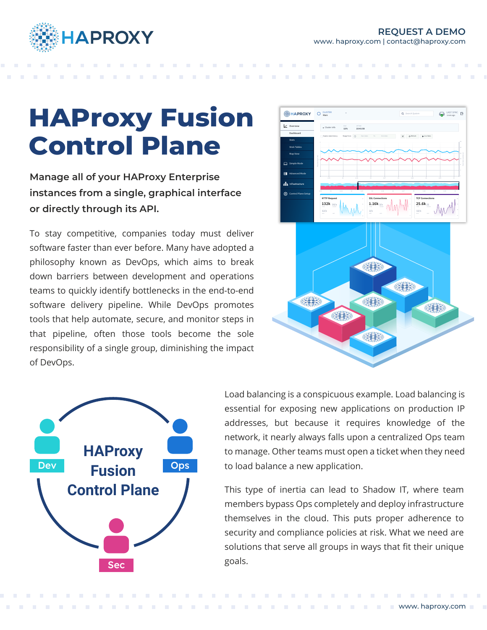

# **HAProxy Fusion Control Plane**

**Manage all of your HAProxy Enterprise instances from a single, graphical interface or directly through its API.**

To stay competitive, companies today must deliver software faster than ever before. Many have adopted a philosophy known as DevOps, which aims to break down barriers between development and operations teams to quickly identify bottlenecks in the end-to-end software delivery pipeline. While DevOps promotes tools that help automate, secure, and monitor steps in that pipeline, often those tools become the sole responsibility of a single group, diminishing the impact of DevOps.







Load balancing is a conspicuous example. Load balancing is essential for exposing new applications on production IP addresses, but because it requires knowledge of the network, it nearly always falls upon a centralized Ops team to manage. Other teams must open a ticket when they need to load balance a new application.

This type of inertia can lead to Shadow IT, where team members bypass Ops completely and deploy infrastructure themselves in the cloud. This puts proper adherence to security and compliance policies at risk. What we need are solutions that serve all groups in ways that fit their unique goals.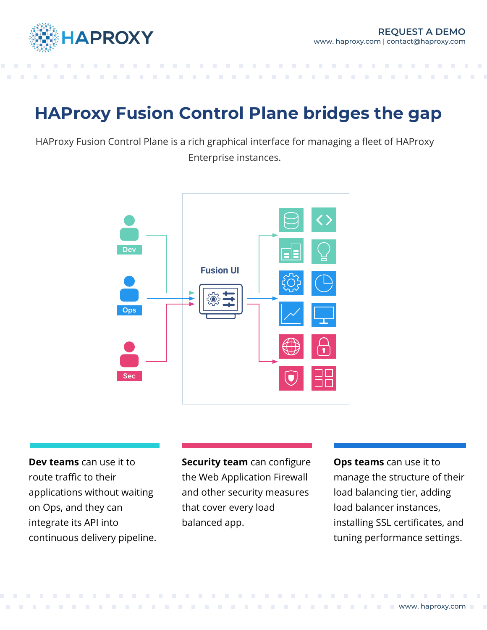

## **HAProxy Fusion Control Plane bridges the gap**

HAProxy Fusion Control Plane is a rich graphical interface for managing a fleet of HAProxy Enterprise instances.



**Dev teams** can use it to route traffic to their applications without waiting on Ops, and they can integrate its API into continuous delivery pipeline.

**Security team** can configure the Web Application Firewall and other security measures that cover every load balanced app.

**Ops teams** can use it to manage the structure of their load balancing tier, adding load balancer instances, installing SSL certificates, and tuning performance settings.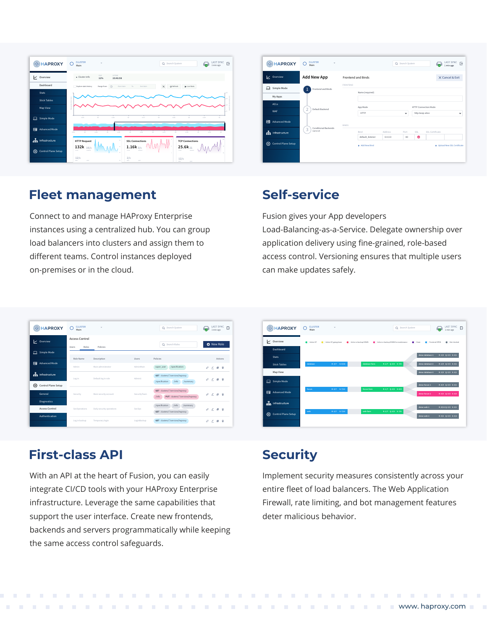

#### **Fleet management**

Connect to and manage HAProxy Enterprise instances using a centralized hub. You can group load balancers into clusters and assign them to different teams. Control instances deployed on-premises or in the cloud.

| <b>EXPROXY</b>                  | <b>CLUSTER</b><br>٠<br>Main |                 |                           |                    | Q Search System |                                                | ø.              | LAST SYNC<br>1 min ago     | G |
|---------------------------------|-----------------------------|-----------------|---------------------------|--------------------|-----------------|------------------------------------------------|-----------------|----------------------------|---|
| overview                        | Add New App                 |                 | <b>Frontend and Binds</b> |                    |                 |                                                |                 | X Cancel & Exit            |   |
| 口<br>Simple Mode<br>My Apps     | Frontend and Binds          | <b>FRONTEND</b> | Name (required)           |                    |                 |                                                |                 |                            |   |
| <b>ACLS</b><br><b>WAF</b>       | 2<br>Default Backend        |                 | App Mode<br><b>HTTP</b>   |                    | $\checkmark$    | <b>HTTP Connection Mode</b><br>http-keep-alive |                 |                            | ٠ |
| 目<br>Advanced Mode              | Conditional Backends        | BINDS           |                           |                    |                 |                                                |                 |                            |   |
| and Infrastructure              | 3<br>(optional)             |                 | Bind<br>default_listener  | Address<br>0.0.0.0 | Port<br>80      | SSL<br>٥                                       | SSL Certificate |                            |   |
| හ<br><b>Control Plane Setup</b> |                             |                 | + Add New Bind            |                    |                 |                                                |                 | Upload New SSL Certificate |   |

#### **Self-service**

Fusion gives your App developers Load-Balancing-as-a-Service. Delegate ownership over application delivery using fine-grained, role-based access control. Versioning ensures that multiple users can make updates safely.

| <b>EXPROXY</b>                              | <b>CLUSTER</b><br>Main                  | ٠                         |              | Q Search System                                                             | LAST SYNC<br>B<br>1 min ago       |
|---------------------------------------------|-----------------------------------------|---------------------------|--------------|-----------------------------------------------------------------------------|-----------------------------------|
| V Overview                                  | <b>Access Control</b><br>Roles<br>Users | Policies                  |              | Q Search Roles                                                              | <b>O</b> New Role                 |
| <b>Simple Mode</b><br>⊟                     | Role Name                               | Description               | Users        | Policies                                                                    | Actions                           |
| 冃<br><b>Advanced Mode</b>                   | Admin                                   | Main administrator        | AdminMain    | /specification<br>super user                                                | $\mathcal O$<br>日 章<br>$\epsilon$ |
| and Infrastructure                          | Login                                   | Default log in role       | Admin1       | GET clusters/*/services/haproxy<br>/specification<br>/summary<br>/info      | n m<br>P<br>×                     |
| 63<br>Control Plane Setup<br>General        | Security                                | Main security account     | SecurityTeam | GET clusters/*/services/haproxy<br>PUT clusters/*/services/haproxy<br>/info | P<br>信一音<br>v                     |
| <b>Diagnostics</b><br><b>Access Control</b> | SecOperations                           | Daily security operations | SecOos       | /specification<br>/info<br>/summary<br>GET clusters/*/services/haproxy      | Ô<br>- 6<br>∠<br>e.               |
| Authentication                              | Log in backup                           | Temporary login           | LoginBackup  | GET clusters/*/services/haproxy                                             | Ô<br>童<br>∠<br><b>COL</b>         |

#### **First-class API**

With an API at the heart of Fusion, you can easily integrate CI/CD tools with your HAProxy Enterprise infrastructure. Leverage the same capabilities that support the user interface. Create new frontends, backends and servers programmatically while keeping the same access control safeguards.



### **Security**

Implement security measures consistently across your entire fleet of load balancers. The Web Application Firewall, rate limiting, and bot management features deter malicious behavior.